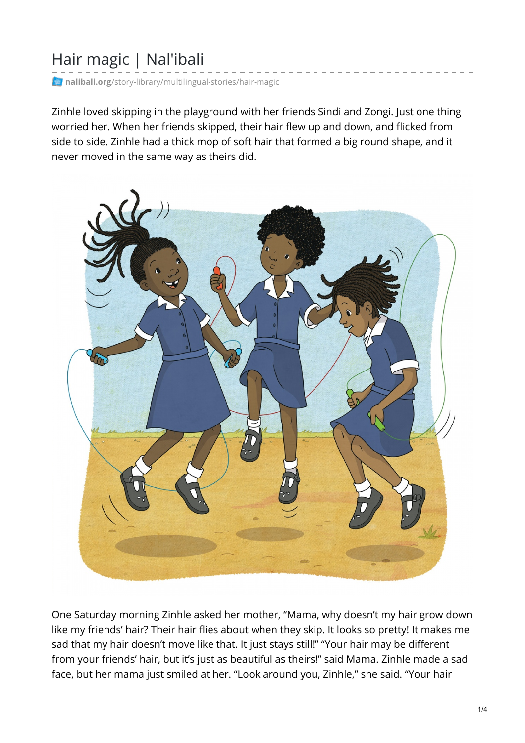## Hair magic | Nal'ibali

**nalibali.org**[/story-library/multilingual-stories/hair-magic](https://nalibali.org/story-library/multilingual-stories/hair-magic)

Zinhle loved skipping in the playground with her friends Sindi and Zongi. Just one thing worried her. When her friends skipped, their hair flew up and down, and flicked from side to side. Zinhle had a thick mop of soft hair that formed a big round shape, and it never moved in the same way as theirs did.



One Saturday morning Zinhle asked her mother, "Mama, why doesn't my hair grow down like my friends' hair? Their hair flies about when they skip. It looks so pretty! It makes me sad that my hair doesn't move like that. It just stays still!" "Your hair may be different from your friends' hair, but it's just as beautiful as theirs!" said Mama. Zinhle made a sad face, but her mama just smiled at her. "Look around you, Zinhle," she said. "Your hair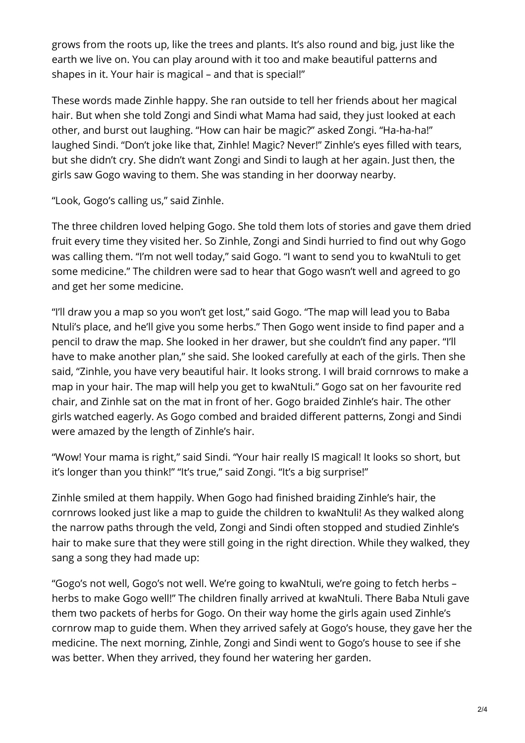grows from the roots up, like the trees and plants. It's also round and big, just like the earth we live on. You can play around with it too and make beautiful patterns and shapes in it. Your hair is magical – and that is special!"

These words made Zinhle happy. She ran outside to tell her friends about her magical hair. But when she told Zongi and Sindi what Mama had said, they just looked at each other, and burst out laughing. "How can hair be magic?" asked Zongi. "Ha-ha-ha!" laughed Sindi. "Don't joke like that, Zinhle! Magic? Never!" Zinhle's eyes filled with tears, but she didn't cry. She didn't want Zongi and Sindi to laugh at her again. Just then, the girls saw Gogo waving to them. She was standing in her doorway nearby.

"Look, Gogo's calling us," said Zinhle.

The three children loved helping Gogo. She told them lots of stories and gave them dried fruit every time they visited her. So Zinhle, Zongi and Sindi hurried to find out why Gogo was calling them. "I'm not well today," said Gogo. "I want to send you to kwaNtuli to get some medicine." The children were sad to hear that Gogo wasn't well and agreed to go and get her some medicine.

"I'll draw you a map so you won't get lost," said Gogo. "The map will lead you to Baba Ntuli's place, and he'll give you some herbs." Then Gogo went inside to find paper and a pencil to draw the map. She looked in her drawer, but she couldn't find any paper. "I'll have to make another plan," she said. She looked carefully at each of the girls. Then she said, "Zinhle, you have very beautiful hair. It looks strong. I will braid cornrows to make a map in your hair. The map will help you get to kwaNtuli." Gogo sat on her favourite red chair, and Zinhle sat on the mat in front of her. Gogo braided Zinhle's hair. The other girls watched eagerly. As Gogo combed and braided different patterns, Zongi and Sindi were amazed by the length of Zinhle's hair.

"Wow! Your mama is right," said Sindi. "Your hair really IS magical! It looks so short, but it's longer than you think!" "It's true," said Zongi. "It's a big surprise!"

Zinhle smiled at them happily. When Gogo had finished braiding Zinhle's hair, the cornrows looked just like a map to guide the children to kwaNtuli! As they walked along the narrow paths through the veld, Zongi and Sindi often stopped and studied Zinhle's hair to make sure that they were still going in the right direction. While they walked, they sang a song they had made up:

"Gogo's not well, Gogo's not well. We're going to kwaNtuli, we're going to fetch herbs – herbs to make Gogo well!" The children finally arrived at kwaNtuli. There Baba Ntuli gave them two packets of herbs for Gogo. On their way home the girls again used Zinhle's cornrow map to guide them. When they arrived safely at Gogo's house, they gave her the medicine. The next morning, Zinhle, Zongi and Sindi went to Gogo's house to see if she was better. When they arrived, they found her watering her garden.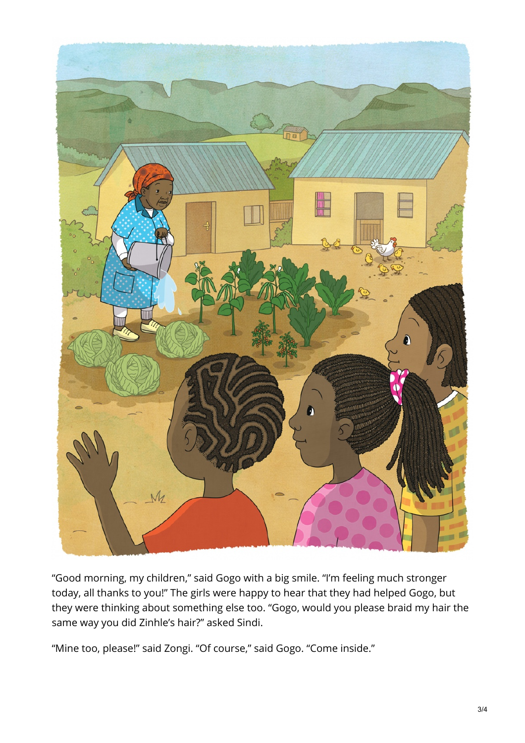

"Good morning, my children," said Gogo with a big smile. "I'm feeling much stronger today, all thanks to you!" The girls were happy to hear that they had helped Gogo, but they were thinking about something else too. "Gogo, would you please braid my hair the same way you did Zinhle's hair?" asked Sindi.

"Mine too, please!" said Zongi. "Of course," said Gogo. "Come inside."